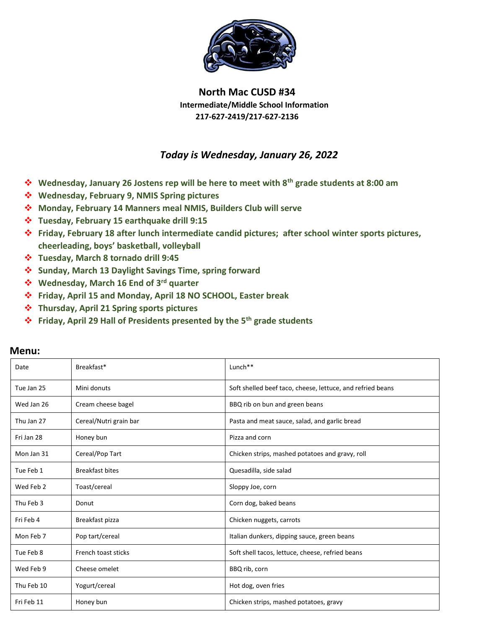

## **North Mac CUSD #34 Intermediate/Middle School Information 217-627-2419/217-627-2136**

## *Today is Wednesday, January 26, 2022*

- **Wednesday, January 26 Jostens rep will be here to meet with 8th grade students at 8:00 am**
- **Wednesday, February 9, NMIS Spring pictures**
- **Monday, February 14 Manners meal NMIS, Builders Club will serve**
- **Tuesday, February 15 earthquake drill 9:15**
- **Friday, February 18 after lunch intermediate candid pictures; after school winter sports pictures, cheerleading, boys' basketball, volleyball**
- **Tuesday, March 8 tornado drill 9:45**
- **Sunday, March 13 Daylight Savings Time, spring forward**
- **Wednesday, March 16 End of 3rd quarter**
- **Friday, April 15 and Monday, April 18 NO SCHOOL, Easter break**
- **Thursday, April 21 Spring sports pictures**
- **Friday, April 29 Hall of Presidents presented by the 5th grade students**

| Date       | Breakfast*             | $Lunch**$                                                  |
|------------|------------------------|------------------------------------------------------------|
| Tue Jan 25 | Mini donuts            | Soft shelled beef taco, cheese, lettuce, and refried beans |
| Wed Jan 26 | Cream cheese bagel     | BBQ rib on bun and green beans                             |
| Thu Jan 27 | Cereal/Nutri grain bar | Pasta and meat sauce, salad, and garlic bread              |
| Fri Jan 28 | Honey bun              | Pizza and corn                                             |
| Mon Jan 31 | Cereal/Pop Tart        | Chicken strips, mashed potatoes and gravy, roll            |
| Tue Feb 1  | <b>Breakfast bites</b> | Quesadilla, side salad                                     |
| Wed Feb 2  | Toast/cereal           | Sloppy Joe, corn                                           |
| Thu Feb 3  | Donut                  | Corn dog, baked beans                                      |
| Fri Feb 4  | Breakfast pizza        | Chicken nuggets, carrots                                   |
| Mon Feb 7  | Pop tart/cereal        | Italian dunkers, dipping sauce, green beans                |
| Tue Feb 8  | French toast sticks    | Soft shell tacos, lettuce, cheese, refried beans           |
| Wed Feb 9  | Cheese omelet          | BBQ rib, corn                                              |
| Thu Feb 10 | Yogurt/cereal          | Hot dog, oven fries                                        |
| Fri Feb 11 | Honey bun              | Chicken strips, mashed potatoes, gravy                     |

## **Menu:**